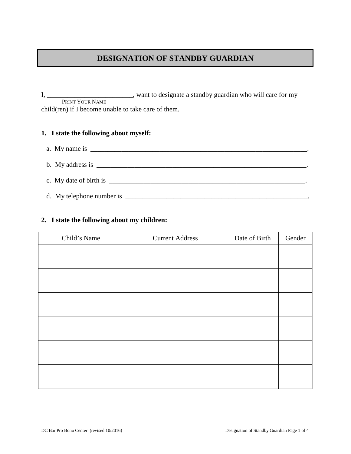# **DESIGNATION OF STANDBY GUARDIAN**

I, \_\_\_\_\_\_\_\_\_\_\_\_\_\_\_\_\_\_\_\_\_\_\_\_\_, want to designate a standby guardian who will care for my PRINT YOUR NAME child(ren) if I become unable to take care of them.

#### **1. I state the following about myself:**

- a. My name is  $\Box$
- b. My address is  $\overline{\phantom{a}}$ c. My date of birth is  $\Box$
- d. My telephone number is  $\Box$

## **2. I state the following about my children:**

| Child's Name | <b>Current Address</b> | Date of Birth | Gender |
|--------------|------------------------|---------------|--------|
|              |                        |               |        |
|              |                        |               |        |
|              |                        |               |        |
|              |                        |               |        |
|              |                        |               |        |
|              |                        |               |        |
|              |                        |               |        |
|              |                        |               |        |
|              |                        |               |        |
|              |                        |               |        |
|              |                        |               |        |
|              |                        |               |        |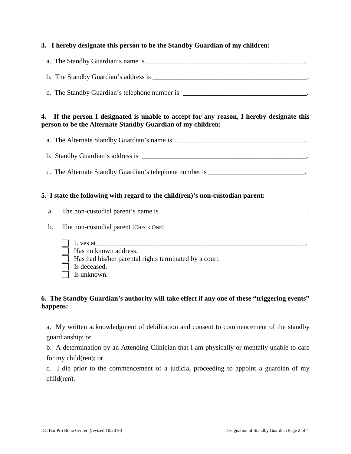### **3. I hereby designate this person to be the Standby Guardian of my children:**

- a. The Standby Guardian's name is  $\blacksquare$
- b. The Standby Guardian's address is  $\blacksquare$
- c. The Standby Guardian's telephone number is \_\_\_\_\_\_\_\_\_\_\_\_\_\_\_\_\_\_\_\_\_\_\_\_\_\_\_\_\_\_\_\_\_\_\_\_.

### **4. If the person I designated is unable to accept for any reason, I hereby designate this person to be the Alternate Standby Guardian of my children:**

- a. The Alternate Standby Guardian's name is \_\_\_\_\_\_\_\_\_\_\_\_\_\_\_\_\_\_\_\_\_\_\_\_\_\_\_\_\_\_\_\_\_\_\_\_\_\_.
- b. Standby Guardian's address is \_\_\_\_\_\_\_\_\_\_\_\_\_\_\_\_\_\_\_\_\_\_\_\_\_\_\_\_\_\_\_\_\_\_\_\_\_\_\_\_\_\_\_\_\_\_\_\_.
- c. The Alternate Standby Guardian's telephone number is \_\_\_\_\_\_\_\_\_\_\_\_\_\_\_\_\_\_\_\_\_\_\_\_\_\_\_\_\_\_.

#### **5. I state the following with regard to the child(ren)'s non-custodian parent:**

- a. The non-custodial parent's name is \_\_\_\_\_\_\_\_\_\_\_\_\_\_\_\_\_\_\_\_\_\_\_\_\_\_\_\_\_\_\_\_\_\_\_\_\_\_\_\_\_\_.
- b. The non-custodial parent [CHECK ONE]
	- $\Box$  Lives at

Has no known address.

- $\Box$  Has had his/her parental rights terminated by a court.
- $\Box$  Is deceased.
- $\Box$  Is unknown.

#### **6. The Standby Guardian's authority will take effect if any one of these "triggering events" happens:**

a. My written acknowledgment of debilitation and consent to commencement of the standby guardianship; or

b. A determination by an Attending Clinician that I am physically or mentally unable to care for my child(ren); or

c. I die prior to the commencement of a judicial proceeding to appoint a guardian of my child(ren).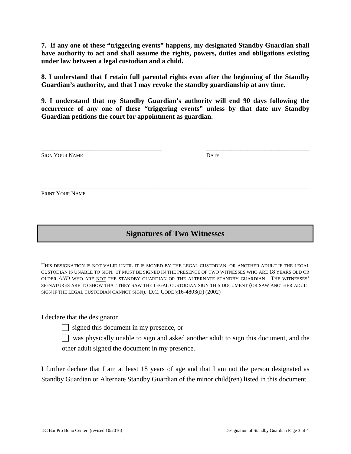**7. If any one of these "triggering events" happens, my designated Standby Guardian shall have authority to act and shall assume the rights, powers, duties and obligations existing under law between a legal custodian and a child.**

**8. I understand that I retain full parental rights even after the beginning of the Standby Guardian's authority, and that I may revoke the standby guardianship at any time.**

**9. I understand that my Standby Guardian's authority will end 90 days following the occurrence of any one of these "triggering events" unless by that date my Standby Guardian petitions the court for appointment as guardian.**

| <b>DATE</b> |
|-------------|

\_\_\_\_\_\_\_\_\_\_\_\_\_\_\_\_\_\_\_\_\_\_\_\_\_\_\_\_\_\_\_\_\_\_\_\_\_\_\_\_\_\_\_\_\_\_\_\_\_\_\_\_\_\_\_\_\_\_\_\_\_\_\_\_\_\_\_\_\_\_\_\_\_\_\_\_\_\_

PRINT YOUR NAME

# **Signatures of Two Witnesses**

THIS DESIGNATION IS NOT VALID UNTIL IT IS SIGNED BY THE LEGAL CUSTODIAN, OR ANOTHER ADULT IF THE LEGAL CUSTODIAN IS UNABLE TO SIGN. IT MUST BE SIGNED IN THE PRESENCE OF TWO WITNESSES WHO ARE 18 YEARS OLD OR OLDER *AND* WHO ARE NOT THE STANDBY GUARDIAN OR THE ALTERNATE STANDBY GUARDIAN. THE WITNESSES' SIGNATURES ARE TO SHOW THAT THEY SAW THE LEGAL CUSTODIAN SIGN THIS DOCUMENT (OR SAW ANOTHER ADULT SIGN IF THE LEGAL CUSTODIAN CANNOT SIGN). D.C. CODE §16-4803(D) (2002)

I declare that the designator

 $\Box$  signed this document in my presence, or

was physically unable to sign and asked another adult to sign this document, and the other adult signed the document in my presence.

I further declare that I am at least 18 years of age and that I am not the person designated as Standby Guardian or Alternate Standby Guardian of the minor child(ren) listed in this document.